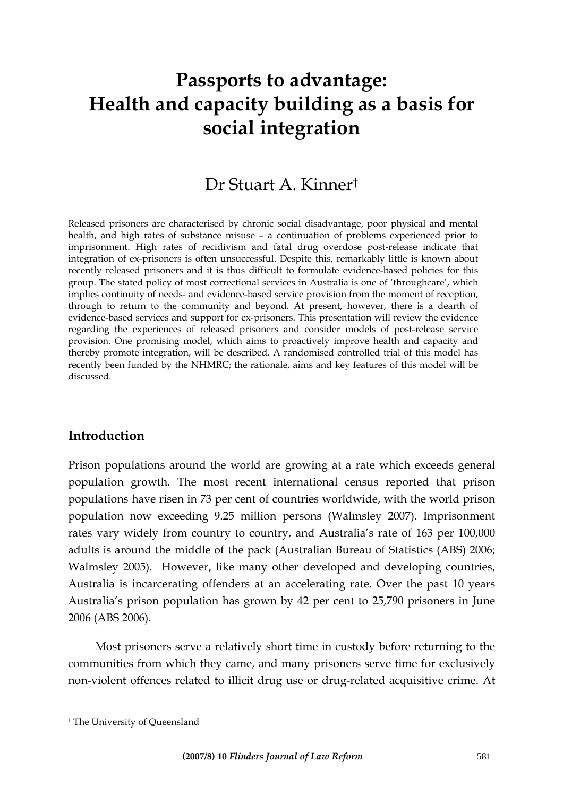# **Passports to advantage: Health and capacity building as a basis for social integration**

# Dr Stuart A. Kinner[†](#page-0-0)

Released prisoners are characterised by chronic social disadvantage, poor physical and mental health, and high rates of substance misuse – a continuation of problems experienced prior to imprisonment. High rates of recidivism and fatal drug overdose post-release indicate that integration of ex-prisoners is often unsuccessful. Despite this, remarkably little is known about recently released prisoners and it is thus difficult to formulate evidence-based policies for this group. The stated policy of most correctional services in Australia is one of 'throughcare', which implies continuity of needs- and evidence-based service provision from the moment of reception, through to return to the community and beyond. At present, however, there is a dearth of evidence-based services and support for ex-prisoners. This presentation will review the evidence regarding the experiences of released prisoners and consider models of post-release service provision. One promising model, which aims to proactively improve health and capacity and thereby promote integration, will be described. A randomised controlled trial of this model has recently been funded by the NHMRC; the rationale, aims and key features of this model will be discussed.

#### **Introduction**

Prison populations around the world are growing at a rate which exceeds general population growth. The most recent international census reported that prison populations have risen in 73 per cent of countries worldwide, with the world prison population now exceeding 9.25 million persons (Walmsley 2007). Imprisonment rates vary widely from country to country, and Australia's rate of 163 per 100,000 adults is around the middle of the pack (Australian Bureau of Statistics (ABS) 2006; Walmsley 2005). However, like many other developed and developing countries, Australia is incarcerating offenders at an accelerating rate. Over the past 10 years Australia's prison population has grown by 42 per cent to 25,790 prisoners in June 2006 (ABS 2006).

Most prisoners serve a relatively short time in custody before returning to the communities from which they came, and many prisoners serve time for exclusively non-violent offences related to illicit drug use or drug-related acquisitive crime. At

 $\overline{a}$ 

<span id="page-0-0"></span><sup>†</sup> The University of Queensland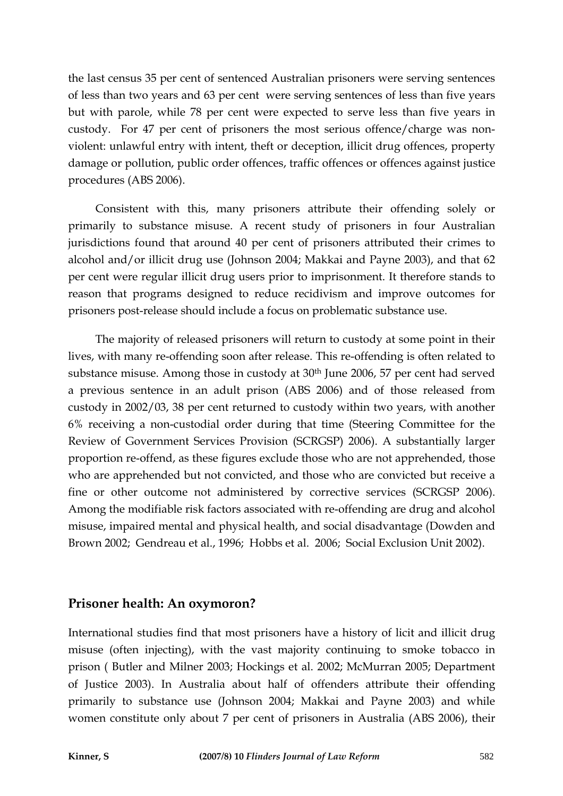the last census 35 per cent of sentenced Australian prisoners were serving sentences of less than two years and 63 per cent were serving sentences of less than five years but with parole, while 78 per cent were expected to serve less than five years in custody. For 47 per cent of prisoners the most serious offence/charge was nonviolent: unlawful entry with intent, theft or deception, illicit drug offences, property damage or pollution, public order offences, traffic offences or offences against justice procedures (ABS 2006).

Consistent with this, many prisoners attribute their offending solely or primarily to substance misuse. A recent study of prisoners in four Australian jurisdictions found that around 40 per cent of prisoners attributed their crimes to alcohol and/or illicit drug use (Johnson 2004; Makkai and Payne 2003), and that 62 per cent were regular illicit drug users prior to imprisonment. It therefore stands to reason that programs designed to reduce recidivism and improve outcomes for prisoners post-release should include a focus on problematic substance use.

The majority of released prisoners will return to custody at some point in their lives, with many re-offending soon after release. This re-offending is often related to substance misuse. Among those in custody at  $30<sup>th</sup>$  June 2006, 57 per cent had served a previous sentence in an adult prison (ABS 2006) and of those released from custody in 2002/03, 38 per cent returned to custody within two years, with another 6% receiving a non-custodial order during that time (Steering Committee for the Review of Government Services Provision (SCRGSP) 2006). A substantially larger proportion re-offend, as these figures exclude those who are not apprehended, those who are apprehended but not convicted, and those who are convicted but receive a fine or other outcome not administered by corrective services (SCRGSP 2006). Among the modifiable risk factors associated with re-offending are drug and alcohol misuse, impaired mental and physical health, and social disadvantage (Dowden and Brown 2002; Gendreau et al., 1996; Hobbs et al. 2006; Social Exclusion Unit 2002).

#### **Prisoner health: An oxymoron?**

International studies find that most prisoners have a history of licit and illicit drug misuse (often injecting), with the vast majority continuing to smoke tobacco in prison ( Butler and Milner 2003; Hockings et al. 2002; McMurran 2005; Department of Justice 2003). In Australia about half of offenders attribute their offending primarily to substance use (Johnson 2004; Makkai and Payne 2003) and while women constitute only about 7 per cent of prisoners in Australia (ABS 2006), their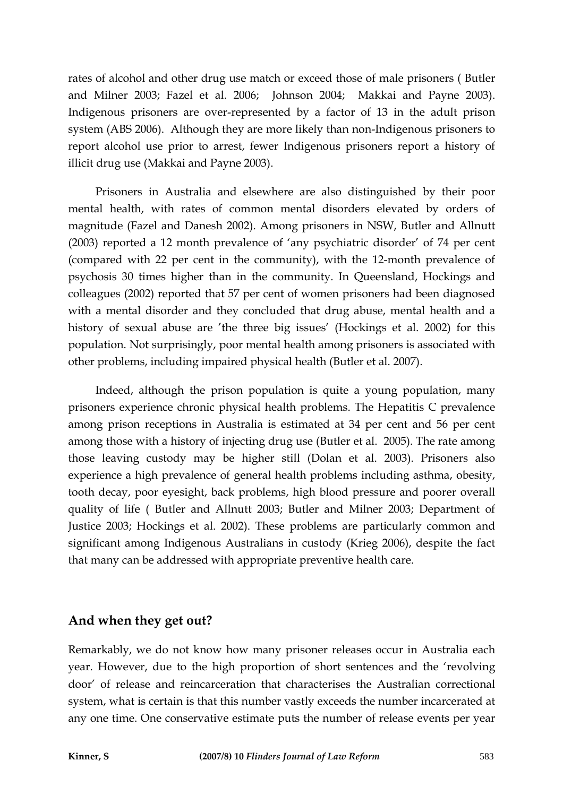rates of alcohol and other drug use match or exceed those of male prisoners ( Butler and Milner 2003; Fazel et al. 2006; Johnson 2004; Makkai and Payne 2003). Indigenous prisoners are over-represented by a factor of 13 in the adult prison system (ABS 2006). Although they are more likely than non-Indigenous prisoners to report alcohol use prior to arrest, fewer Indigenous prisoners report a history of illicit drug use (Makkai and Payne 2003).

Prisoners in Australia and elsewhere are also distinguished by their poor mental health, with rates of common mental disorders elevated by orders of magnitude (Fazel and Danesh 2002). Among prisoners in NSW, Butler and Allnutt (2003) reported a 12 month prevalence of 'any psychiatric disorder' of 74 per cent (compared with 22 per cent in the community), with the 12-month prevalence of psychosis 30 times higher than in the community. In Queensland, Hockings and colleagues (2002) reported that 57 per cent of women prisoners had been diagnosed with a mental disorder and they concluded that drug abuse, mental health and a history of sexual abuse are 'the three big issues' (Hockings et al. 2002) for this population. Not surprisingly, poor mental health among prisoners is associated with other problems, including impaired physical health (Butler et al. 2007).

Indeed, although the prison population is quite a young population, many prisoners experience chronic physical health problems. The Hepatitis C prevalence among prison receptions in Australia is estimated at 34 per cent and 56 per cent among those with a history of injecting drug use (Butler et al. 2005). The rate among those leaving custody may be higher still (Dolan et al. 2003). Prisoners also experience a high prevalence of general health problems including asthma, obesity, tooth decay, poor eyesight, back problems, high blood pressure and poorer overall quality of life ( Butler and Allnutt 2003; Butler and Milner 2003; Department of Justice 2003; Hockings et al. 2002). These problems are particularly common and significant among Indigenous Australians in custody (Krieg 2006), despite the fact that many can be addressed with appropriate preventive health care.

#### **And when they get out?**

Remarkably, we do not know how many prisoner releases occur in Australia each year. However, due to the high proportion of short sentences and the 'revolving door' of release and reincarceration that characterises the Australian correctional system, what is certain is that this number vastly exceeds the number incarcerated at any one time. One conservative estimate puts the number of release events per year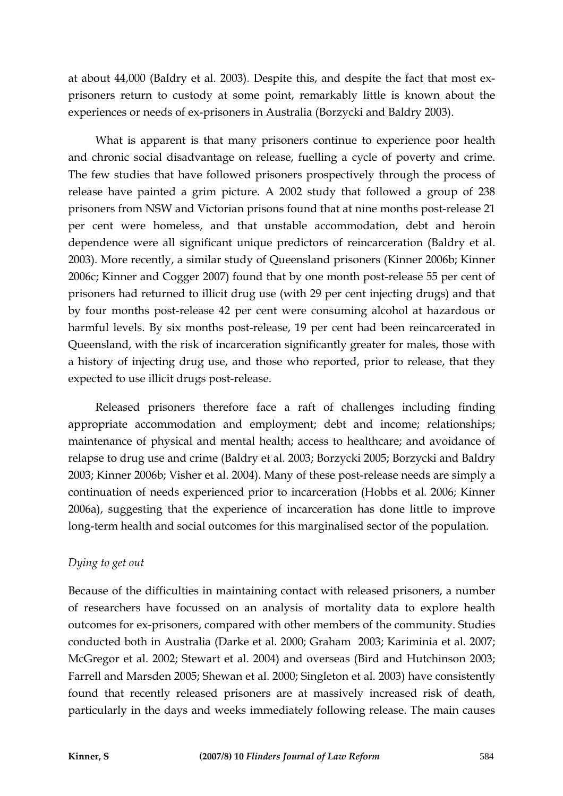at about 44,000 (Baldry et al. 2003). Despite this, and despite the fact that most exprisoners return to custody at some point, remarkably little is known about the experiences or needs of ex-prisoners in Australia (Borzycki and Baldry 2003).

What is apparent is that many prisoners continue to experience poor health and chronic social disadvantage on release, fuelling a cycle of poverty and crime. The few studies that have followed prisoners prospectively through the process of release have painted a grim picture. A 2002 study that followed a group of 238 prisoners from NSW and Victorian prisons found that at nine months post-release 21 per cent were homeless, and that unstable accommodation, debt and heroin dependence were all significant unique predictors of reincarceration (Baldry et al. 2003). More recently, a similar study of Queensland prisoners (Kinner 2006b; Kinner 2006c; Kinner and Cogger 2007) found that by one month post-release 55 per cent of prisoners had returned to illicit drug use (with 29 per cent injecting drugs) and that by four months post-release 42 per cent were consuming alcohol at hazardous or harmful levels. By six months post-release, 19 per cent had been reincarcerated in Queensland, with the risk of incarceration significantly greater for males, those with a history of injecting drug use, and those who reported, prior to release, that they expected to use illicit drugs post-release.

Released prisoners therefore face a raft of challenges including finding appropriate accommodation and employment; debt and income; relationships; maintenance of physical and mental health; access to healthcare; and avoidance of relapse to drug use and crime (Baldry et al. 2003; Borzycki 2005; Borzycki and Baldry 2003; Kinner 2006b; Visher et al. 2004). Many of these post-release needs are simply a continuation of needs experienced prior to incarceration (Hobbs et al. 2006; Kinner 2006a), suggesting that the experience of incarceration has done little to improve long-term health and social outcomes for this marginalised sector of the population.

#### *Dying to get out*

Because of the difficulties in maintaining contact with released prisoners, a number of researchers have focussed on an analysis of mortality data to explore health outcomes for ex-prisoners, compared with other members of the community. Studies conducted both in Australia (Darke et al. 2000; Graham 2003; Kariminia et al. 2007; McGregor et al. 2002; Stewart et al. 2004) and overseas (Bird and Hutchinson 2003; Farrell and Marsden 2005; Shewan et al. 2000; Singleton et al. 2003) have consistently found that recently released prisoners are at massively increased risk of death, particularly in the days and weeks immediately following release. The main causes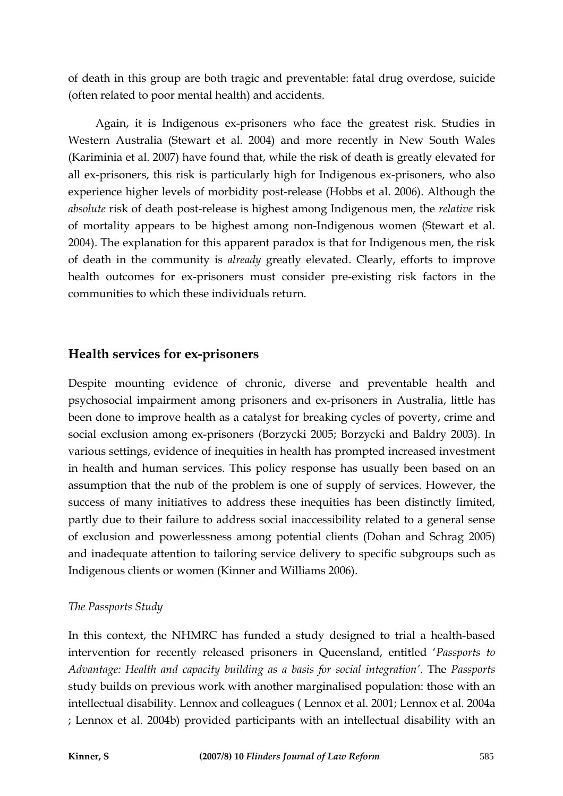of death in this group are both tragic and preventable: fatal drug overdose, suicide (often related to poor mental health) and accidents.

Again, it is Indigenous ex-prisoners who face the greatest risk. Studies in Western Australia (Stewart et al. 2004) and more recently in New South Wales (Kariminia et al. 2007) have found that, while the risk of death is greatly elevated for all ex-prisoners, this risk is particularly high for Indigenous ex-prisoners, who also experience higher levels of morbidity post-release (Hobbs et al. 2006). Although the *absolute* risk of death post-release is highest among Indigenous men, the *relative* risk of mortality appears to be highest among non-Indigenous women (Stewart et al. 2004). The explanation for this apparent paradox is that for Indigenous men, the risk of death in the community is *already* greatly elevated. Clearly, efforts to improve health outcomes for ex-prisoners must consider pre-existing risk factors in the communities to which these individuals return.

## **Health services for ex-prisoners**

Despite mounting evidence of chronic, diverse and preventable health and psychosocial impairment among prisoners and ex-prisoners in Australia, little has been done to improve health as a catalyst for breaking cycles of poverty, crime and social exclusion among ex-prisoners (Borzycki 2005; Borzycki and Baldry 2003). In various settings, evidence of inequities in health has prompted increased investment in health and human services. This policy response has usually been based on an assumption that the nub of the problem is one of supply of services. However, the success of many initiatives to address these inequities has been distinctly limited, partly due to their failure to address social inaccessibility related to a general sense of exclusion and powerlessness among potential clients (Dohan and Schrag 2005) and inadequate attention to tailoring service delivery to specific subgroups such as Indigenous clients or women (Kinner and Williams 2006).

#### *The Passports Study*

In this context, the NHMRC has funded a study designed to trial a health-based intervention for recently released prisoners in Queensland, entitled '*Passports to Advantage: Health and capacity building as a basis for social integration'*. The *Passports*  study builds on previous work with another marginalised population: those with an intellectual disability. Lennox and colleagues ( Lennox et al. 2001; Lennox et al. 2004a ; Lennox et al. 2004b) provided participants with an intellectual disability with an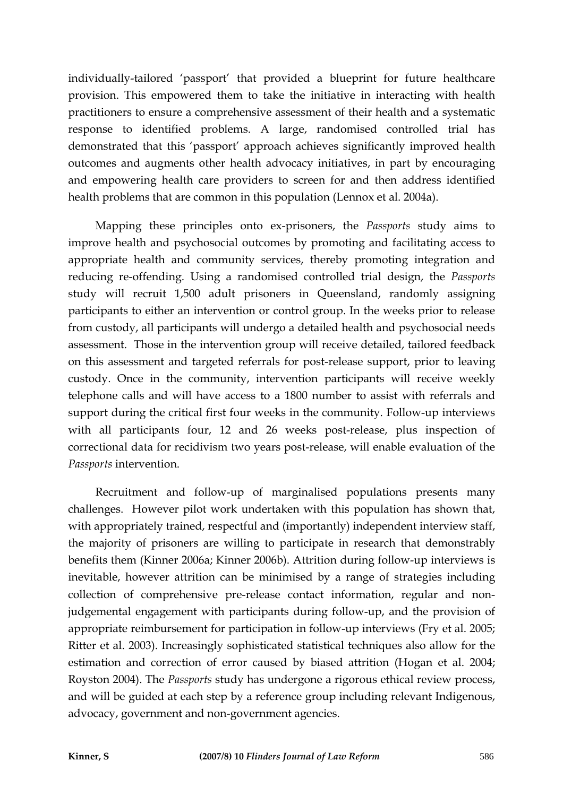individually-tailored 'passport' that provided a blueprint for future healthcare provision. This empowered them to take the initiative in interacting with health practitioners to ensure a comprehensive assessment of their health and a systematic response to identified problems. A large, randomised controlled trial has demonstrated that this 'passport' approach achieves significantly improved health outcomes and augments other health advocacy initiatives, in part by encouraging and empowering health care providers to screen for and then address identified health problems that are common in this population (Lennox et al. 2004a).

Mapping these principles onto ex-prisoners, the *Passports* study aims to improve health and psychosocial outcomes by promoting and facilitating access to appropriate health and community services, thereby promoting integration and reducing re-offending. Using a randomised controlled trial design, the *Passports* study will recruit 1,500 adult prisoners in Queensland, randomly assigning participants to either an intervention or control group. In the weeks prior to release from custody, all participants will undergo a detailed health and psychosocial needs assessment. Those in the intervention group will receive detailed, tailored feedback on this assessment and targeted referrals for post-release support, prior to leaving custody. Once in the community, intervention participants will receive weekly telephone calls and will have access to a 1800 number to assist with referrals and support during the critical first four weeks in the community. Follow-up interviews with all participants four, 12 and 26 weeks post-release, plus inspection of correctional data for recidivism two years post-release, will enable evaluation of the *Passports* intervention.

Recruitment and follow-up of marginalised populations presents many challenges. However pilot work undertaken with this population has shown that, with appropriately trained, respectful and (importantly) independent interview staff, the majority of prisoners are willing to participate in research that demonstrably benefits them (Kinner 2006a; Kinner 2006b). Attrition during follow-up interviews is inevitable, however attrition can be minimised by a range of strategies including collection of comprehensive pre-release contact information, regular and nonjudgemental engagement with participants during follow-up, and the provision of appropriate reimbursement for participation in follow-up interviews (Fry et al. 2005; Ritter et al. 2003). Increasingly sophisticated statistical techniques also allow for the estimation and correction of error caused by biased attrition (Hogan et al. 2004; Royston 2004). The *Passports* study has undergone a rigorous ethical review process, and will be guided at each step by a reference group including relevant Indigenous, advocacy, government and non-government agencies.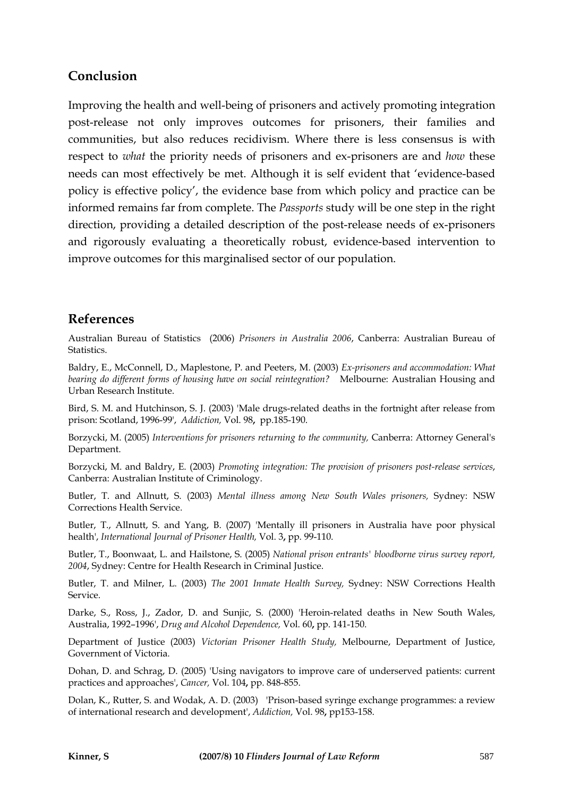# **Conclusion**

Improving the health and well-being of prisoners and actively promoting integration post-release not only improves outcomes for prisoners, their families and communities, but also reduces recidivism. Where there is less consensus is with respect to *what* the priority needs of prisoners and ex-prisoners are and *how* these needs can most effectively be met. Although it is self evident that 'evidence-based policy is effective policy', the evidence base from which policy and practice can be informed remains far from complete. The *Passports* study will be one step in the right direction, providing a detailed description of the post-release needs of ex-prisoners and rigorously evaluating a theoretically robust, evidence-based intervention to improve outcomes for this marginalised sector of our population.

## **References**

Australian Bureau of Statistics (2006) *Prisoners in Australia 2006*, Canberra: Australian Bureau of Statistics.

Baldry, E., McConnell, D., Maplestone, P. and Peeters, M. (2003) *Ex-prisoners and accommodation: What bearing do different forms of housing have on social reintegration?* Melbourne: Australian Housing and Urban Research Institute.

Bird, S. M. and Hutchinson, S. J. (2003) 'Male drugs-related deaths in the fortnight after release from prison: Scotland, 1996-99', *Addiction,* Vol. 98**,** pp.185-190.

Borzycki, M. (2005) *Interventions for prisoners returning to the community,* Canberra: Attorney General's Department.

Borzycki, M. and Baldry, E. (2003) *Promoting integration: The provision of prisoners post-release services*, Canberra: Australian Institute of Criminology.

Butler, T. and Allnutt, S. (2003) *Mental illness among New South Wales prisoners,* Sydney: NSW Corrections Health Service.

Butler, T., Allnutt, S. and Yang, B. (2007) 'Mentally ill prisoners in Australia have poor physical health', *International Journal of Prisoner Health,* Vol. 3**,** pp. 99-110.

Butler, T., Boonwaat, L. and Hailstone, S. (2005) *National prison entrants' bloodborne virus survey report, 2004*, Sydney: Centre for Health Research in Criminal Justice.

Butler, T. and Milner, L. (2003) *The 2001 Inmate Health Survey,* Sydney: NSW Corrections Health Service.

Darke, S., Ross, J., Zador, D. and Sunjic, S. (2000) 'Heroin-related deaths in New South Wales, Australia, 1992–1996', *Drug and Alcohol Dependence,* Vol. 60**,** pp. 141-150.

Department of Justice (2003) *Victorian Prisoner Health Study,* Melbourne, Department of Justice, Government of Victoria.

Dohan, D. and Schrag, D. (2005) 'Using navigators to improve care of underserved patients: current practices and approaches', *Cancer,* Vol. 104**,** pp. 848-855.

Dolan, K., Rutter, S. and Wodak, A. D. (2003) 'Prison-based syringe exchange programmes: a review of international research and development', *Addiction,* Vol. 98**,** pp153-158.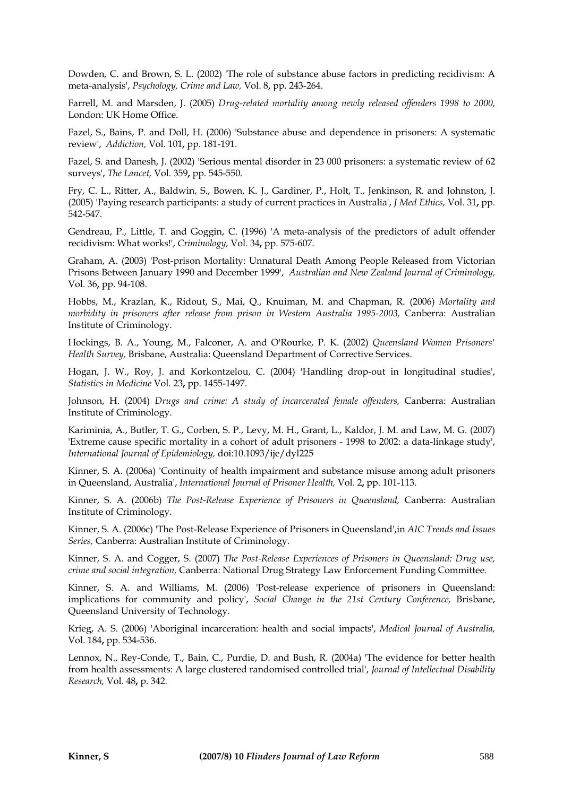Dowden, C. and Brown, S. L. (2002) 'The role of substance abuse factors in predicting recidivism: A meta-analysis', *Psychology, Crime and Law,* Vol. 8**,** pp. 243-264.

Farrell, M. and Marsden, J. (2005) *Drug-related mortality among newly released offenders 1998 to 2000,*  London: UK Home Office.

Fazel, S., Bains, P. and Doll, H. (2006) 'Substance abuse and dependence in prisoners: A systematic review', *Addiction,* Vol. 101**,** pp. 181-191.

Fazel, S. and Danesh, J. (2002) 'Serious mental disorder in 23 000 prisoners: a systematic review of 62 surveys', *The Lancet,* Vol. 359**,** pp. 545-550.

Fry, C. L., Ritter, A., Baldwin, S., Bowen, K. J., Gardiner, P., Holt, T., Jenkinson, R. and Johnston, J. (2005) 'Paying research participants: a study of current practices in Australia', *J Med Ethics,* Vol. 31**,** pp. 542-547.

Gendreau, P., Little, T. and Goggin, C. (1996) 'A meta-analysis of the predictors of adult offender recidivism: What works!', *Criminology,* Vol. 34**,** pp. 575-607.

Graham, A. (2003) 'Post-prison Mortality: Unnatural Death Among People Released from Victorian Prisons Between January 1990 and December 1999', *Australian and New Zealand Journal of Criminology,* Vol. 36**,** pp. 94-108.

Hobbs, M., Krazlan, K., Ridout, S., Mai, Q., Knuiman, M. and Chapman, R. (2006) *Mortality and morbidity in prisoners after release from prison in Western Australia 1995-2003,* Canberra: Australian Institute of Criminology.

Hockings, B. A., Young, M., Falconer, A. and O'Rourke, P. K. (2002) *Queensland Women Prisoners' Health Survey,* Brisbane, Australia: Queensland Department of Corrective Services.

Hogan, J. W., Roy, J. and Korkontzelou, C. (2004) 'Handling drop-out in longitudinal studies', *Statistics in Medicine* Vol*.* 23**,** pp. 1455-1497.

Johnson, H. (2004) *Drugs and crime: A study of incarcerated female offenders,* Canberra: Australian Institute of Criminology.

Kariminia, A., Butler, T. G., Corben, S. P., Levy, M. H., Grant, L., Kaldor, J. M. and Law, M. G. (2007) 'Extreme cause specific mortality in a cohort of adult prisoners - 1998 to 2002: a data-linkage study', *International Journal of Epidemiology,* doi:10.1093/ije/dyl225

Kinner, S. A. (2006a) 'Continuity of health impairment and substance misuse among adult prisoners in Queensland, Australia', *International Journal of Prisoner Health,* Vol. 2**,** pp. 101-113.

Kinner, S. A. (2006b) *The Post-Release Experience of Prisoners in Queensland,* Canberra: Australian Institute of Criminology.

Kinner, S. A. (2006c) 'The Post-Release Experience of Prisoners in Queensland',in *AIC Trends and Issues Series,* Canberra: Australian Institute of Criminology.

Kinner, S. A. and Cogger, S. (2007) *The Post-Release Experiences of Prisoners in Queensland: Drug use, crime and social integration,* Canberra: National Drug Strategy Law Enforcement Funding Committee.

Kinner, S. A. and Williams, M. (2006) 'Post-release experience of prisoners in Queensland: implications for community and policy', *Social Change in the 21st Century Conference,* Brisbane, Queensland University of Technology.

Krieg, A. S. (2006) 'Aboriginal incarceration: health and social impacts', *Medical Journal of Australia,* Vol. 184**,** pp. 534-536.

Lennox, N., Rey-Conde, T., Bain, C., Purdie, D. and Bush, R. (2004a) 'The evidence for better health from health assessments: A large clustered randomised controlled trial', *Journal of Intellectual Disability Research,* Vol. 48**,** p. 342.